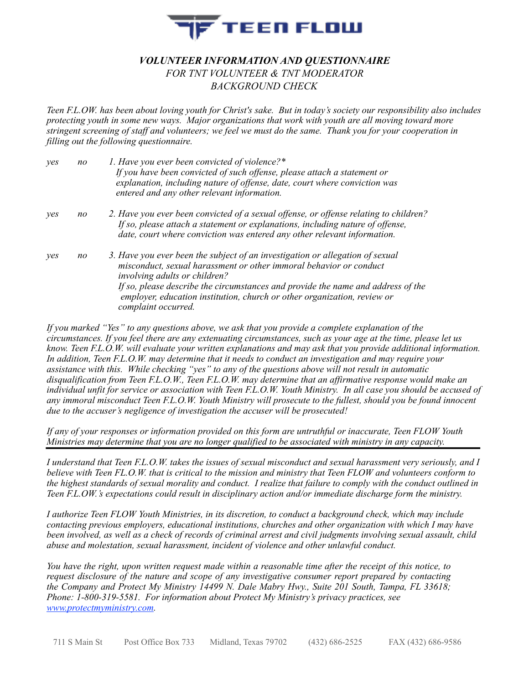

## *VOLUNTEER INFORMATION AND QUESTIONNAIRE FOR TNT VOLUNTEER & TNT MODERATOR BACKGROUND CHECK*

*Teen F.L.OW. has been about loving youth for Christ's sake. But in today's society our responsibility also includes protecting youth in some new ways. Major organizations that work with youth are all moving toward more stringent screening of staff and volunteers; we feel we must do the same. Thank you for your cooperation in filling out the following questionnaire.* 

| yes | no | 1. Have you ever been convicted of violence?*<br>If you have been convicted of such offense, please attach a statement or<br>explanation, including nature of offense, date, court where conviction was<br>entered and any other relevant information.                                                                                                                             |
|-----|----|------------------------------------------------------------------------------------------------------------------------------------------------------------------------------------------------------------------------------------------------------------------------------------------------------------------------------------------------------------------------------------|
| yes | no | 2. Have you ever been convicted of a sexual offense, or offense relating to children?<br>If so, please attach a statement or explanations, including nature of offense,<br>date, court where conviction was entered any other relevant information.                                                                                                                                |
| yes | no | 3. Have you ever been the subject of an investigation or allegation of sexual<br>misconduct, sexual harassment or other immoral behavior or conduct<br><i>involving adults or children?</i><br>If so, please describe the circumstances and provide the name and address of the<br>employer, education institution, church or other organization, review or<br>complaint occurred. |

*If you marked "Yes" to any questions above, we ask that you provide a complete explanation of the circumstances. If you feel there are any extenuating circumstances, such as your age at the time, please let us know. Teen F.L.O.W. will evaluate your written explanations and may ask that you provide additional information. In addition, Teen F.L.O.W. may determine that it needs to conduct an investigation and may require your assistance with this. While checking "yes" to any of the questions above will not result in automatic disqualification from Teen F.L.O.W., Teen F.L.O.W. may determine that an affirmative response would make an individual unfit for service or association with Teen F.L.O.W. Youth Ministry. In all case you should be accused of any immoral misconduct Teen F.L.O.W. Youth Ministry will prosecute to the fullest, should you be found innocent due to the accuser's negligence of investigation the accuser will be prosecuted!* 

*If any of your responses or information provided on this form are untruthful or inaccurate, Teen FLOW Youth Ministries may determine that you are no longer qualified to be associated with ministry in any capacity.* 

*I understand that Teen F.L.O.W. takes the issues of sexual misconduct and sexual harassment very seriously, and I believe with Teen FL.O.W. that is critical to the mission and ministry that Teen FLOW and volunteers conform to the highest standards of sexual morality and conduct. I realize that failure to comply with the conduct outlined in Teen F.L.OW.'s expectations could result in disciplinary action and/or immediate discharge form the ministry.* 

*I authorize Teen FLOW Youth Ministries, in its discretion, to conduct a background check, which may include contacting previous employers, educational institutions, churches and other organization with which I may have been involved, as well as a check of records of criminal arrest and civil judgments involving sexual assault, child abuse and molestation, sexual harassment, incident of violence and other unlawful conduct.* 

*You have the right, upon written request made within a reasonable time after the receipt of this notice, to request disclosure of the nature and scope of any investigative consumer report prepared by contacting the Company and Protect My Ministry 14499 N. Dale Mabry Hwy., Suite 201 South, Tampa, FL 33618; Phone: 1-800-319-5581. For information about Protect My Ministry's privacy practices, see [www.protectmyministry.com](http://www.protectmyministry.com).*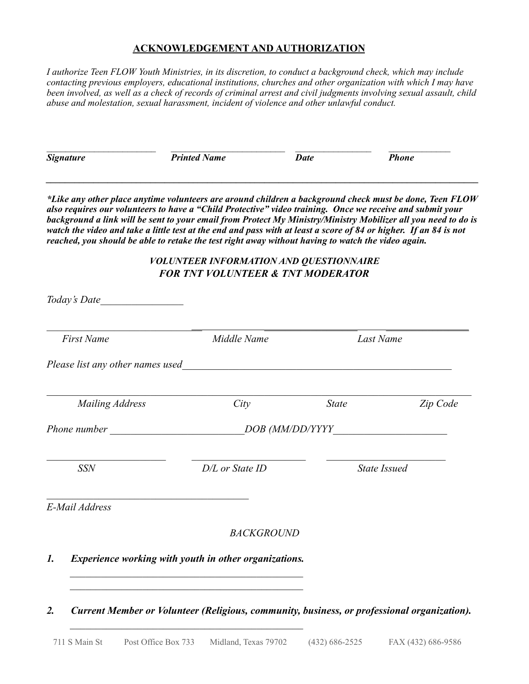## **ACKNOWLEDGEMENT AND AUTHORIZATION**

*I authorize Teen FLOW Youth Ministries, in its discretion, to conduct a background check, which may include contacting previous employers, educational institutions, churches and other organization with which I may have been involved, as well as a check of records of criminal arrest and civil judgments involving sexual assault, child abuse and molestation, sexual harassment, incident of violence and other unlawful conduct.* 

| <b>Signature</b> | <b>Printed Name</b> | <b>Date</b> | <b>Phone</b> |
|------------------|---------------------|-------------|--------------|
|                  |                     |             |              |

*\*Like any other place anytime volunteers are around children a background check must be done, Teen FLOW also requires our volunteers to have a "Child Protective" video training. Once we receive and submit your background a link will be sent to your email from Protect My Ministry/Ministry Mobilizer all you need to do is watch the video and take a little test at the end and pass with at least a score of 84 or higher. If an 84 is not reached, you should be able to retake the test right away without having to watch the video again.* 

## *VOLUNTEER INFORMATION AND QUESTIONNAIRE FOR TNT VOLUNTEER & TNT MODERATOR*

| Today's Date           |                                                       |              |                     |
|------------------------|-------------------------------------------------------|--------------|---------------------|
| <b>First Name</b>      | Middle Name                                           | Last Name    |                     |
|                        |                                                       |              |                     |
| <b>Mailing Address</b> | City                                                  | <b>State</b> | Zip Code            |
|                        |                                                       |              |                     |
| <b>SSN</b>             | D/L or State ID                                       |              | <b>State Issued</b> |
| E-Mail Address         |                                                       |              |                     |
|                        | <b>BACKGROUND</b>                                     |              |                     |
| 1.                     | Experience working with youth in other organizations. |              |                     |